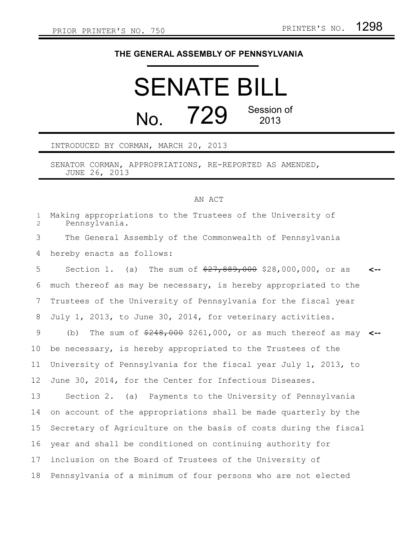## **THE GENERAL ASSEMBLY OF PENNSYLVANIA**

## SENATE BILL  $N<sub>0</sub>$  729 Session of 2013

INTRODUCED BY CORMAN, MARCH 20, 2013

SENATOR CORMAN, APPROPRIATIONS, RE-REPORTED AS AMENDED, JUNE 26, 2013

## AN ACT

Making appropriations to the Trustees of the University of Pennsylvania. The General Assembly of the Commonwealth of Pennsylvania hereby enacts as follows: Section 1. (a) The sum of  $\frac{27}{889,000}$  \$28,000,000, or as much thereof as may be necessary, is hereby appropriated to the Trustees of the University of Pennsylvania for the fiscal year July 1, 2013, to June 30, 2014, for veterinary activities. (b) The sum of \$248,000 \$261,000, or as much thereof as may **<-** be necessary, is hereby appropriated to the Trustees of the University of Pennsylvania for the fiscal year July 1, 2013, to June 30, 2014, for the Center for Infectious Diseases. Section 2. (a) Payments to the University of Pennsylvania on account of the appropriations shall be made quarterly by the Secretary of Agriculture on the basis of costs during the fiscal year and shall be conditioned on continuing authority for inclusion on the Board of Trustees of the University of Pennsylvania of a minimum of four persons who are not elected **<--** 1 2 3 4 5 6 7 8 9 10 11 12 13 14 15 16 17 18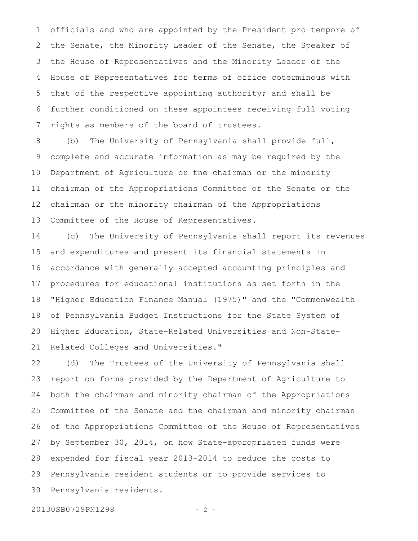officials and who are appointed by the President pro tempore of the Senate, the Minority Leader of the Senate, the Speaker of the House of Representatives and the Minority Leader of the House of Representatives for terms of office coterminous with that of the respective appointing authority; and shall be further conditioned on these appointees receiving full voting rights as members of the board of trustees. 1 2 3 4 5 6 7

(b) The University of Pennsylvania shall provide full, complete and accurate information as may be required by the Department of Agriculture or the chairman or the minority chairman of the Appropriations Committee of the Senate or the chairman or the minority chairman of the Appropriations Committee of the House of Representatives. 8 9 10 11 12 13

(c) The University of Pennsylvania shall report its revenues and expenditures and present its financial statements in accordance with generally accepted accounting principles and procedures for educational institutions as set forth in the "Higher Education Finance Manual (1975)" and the "Commonwealth of Pennsylvania Budget Instructions for the State System of Higher Education, State-Related Universities and Non-State-Related Colleges and Universities." 14 15 16 17 18 19 20 21

(d) The Trustees of the University of Pennsylvania shall report on forms provided by the Department of Agriculture to both the chairman and minority chairman of the Appropriations Committee of the Senate and the chairman and minority chairman of the Appropriations Committee of the House of Representatives by September 30, 2014, on how State-appropriated funds were expended for fiscal year 2013-2014 to reduce the costs to Pennsylvania resident students or to provide services to Pennsylvania residents. 22 23 24 25 26 27 28 29 30

20130SB0729PN1298 - 2 -